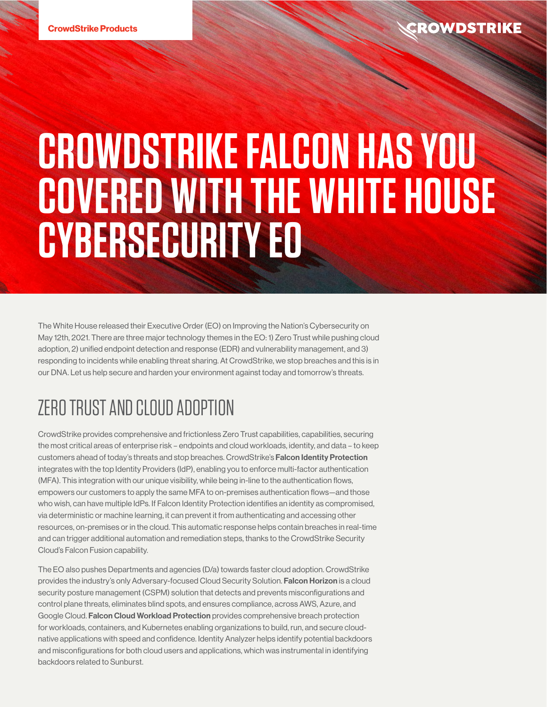The White House released their Executive Order (EO) on Improving the Nation's Cybersecurity on May 12th, 2021. There are three major technology themes in the EO: 1) Zero Trust while pushing cloud adoption, 2) unified endpoint detection and response (EDR) and vulnerability management, and 3) responding to incidents while enabling threat sharing. At CrowdStrike, we stop breaches and this is in our DNA. Let us help secure and harden your environment against today and tomorrow's threats.

## ZERO TRUST AND CLOUD ADOPTION

CrowdStrike provides comprehensive and frictionless Zero Trust capabilities, capabilities, securing the most critical areas of enterprise risk – endpoints and cloud workloads, identity, and data – to keep customers ahead of today's threats and stop breaches. CrowdStrike's Falcon Identity Protection integrates with the top Identity Providers (IdP), enabling you to enforce multi-factor authentication (MFA). This integration with our unique visibility, while being in-line to the authentication flows, empowers our customers to apply the same MFA to on-premises authentication flows—and those who wish, can have multiple IdPs. If Falcon Identity Protection identifies an identity as compromised, via deterministic or machine learning, it can prevent it from authenticating and accessing other resources, on-premises or in the cloud. This automatic response helps contain breaches in real-time and can trigger additional automation and remediation steps, thanks to the CrowdStrike Security Cloud's Falcon Fusion capability.

The EO also pushes Departments and agencies (D/a) towards faster cloud adoption. CrowdStrike provides the industry's only Adversary-focused Cloud Security Solution. Falcon Horizon is a cloud security posture management (CSPM) solution that detects and prevents misconfigurations and control plane threats, eliminates blind spots, and ensures compliance, across AWS, Azure, and Google Cloud. Falcon Cloud Workload Protection provides comprehensive breach protection for workloads, containers, and Kubernetes enabling organizations to build, run, and secure cloudnative applications with speed and confidence. Identity Analyzer helps identify potential backdoors and misconfigurations for both cloud users and applications, which was instrumental in identifying backdoors related to Sunburst.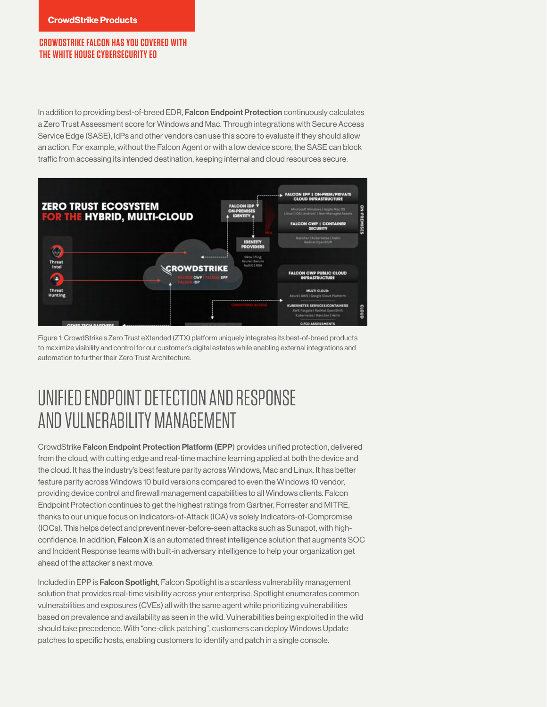In addition to providing best-of-breed EDR, Falcon Endpoint Protection continuously calculates a Zero Trust Assessment score for Windows and Mac. Through integrations with Secure Access Service Edge (SASE), IdPs and other vendors can use this score to evaluate if they should allow an action. For example, without the Falcon Agent or with a low device score, the SASE can block traffic from accessing its intended destination, keeping internal and cloud resources secure.



Figure 1: CrowdStrike's Zero Trust eXtended (ZTX) platform uniquely integrates its best-of-breed products to maximize visibility and control for our customer's digital estates while enabling external integrations and automation to further their Zero Trust Architecture.

### UNIFIED ENDPOINT DETECTION AND RESPONSE AND VULNERABILITY MANAGEMENT

CrowdStrike Falcon Endpoint Protection Platform (EPP) provides unified protection, delivered from the cloud, with cutting edge and real-time machine learning applied at both the device and the cloud. It has the industry's best feature parity across Windows, Mac and Linux. It has better feature parity across Windows 10 build versions compared to even the Windows 10 vendor, providing device control and firewall management capabilities to all Windows clients. Falcon Endpoint Protection continues to get the highest ratings from Gartner, Forrester and MITRE, thanks to our unique focus on Indicators-of-Attack (IOA) vs solely Indicators-of-Compromise (IOCs). This helps detect and prevent never-before-seen attacks such as Sunspot, with highconfidence. In addition, Falcon X is an automated threat intelligence solution that augments SOC and Incident Response teams with built-in adversary intelligence to help your organization get ahead of the attacker's next move.

Included in EPP is **Falcon Spotlight**, Falcon Spotlight is a scanless vulnerability management solution that provides real-time visibility across your enterprise. Spotlight enumerates common vulnerabilities and exposures (CVEs) all with the same agent while prioritizing vulnerabilities based on prevalence and availability as seen in the wild. Vulnerabilities being exploited in the wild should take precedence. With "one-click patching", customers can deploy Windows Update patches to specific hosts, enabling customers to identify and patch in a single console.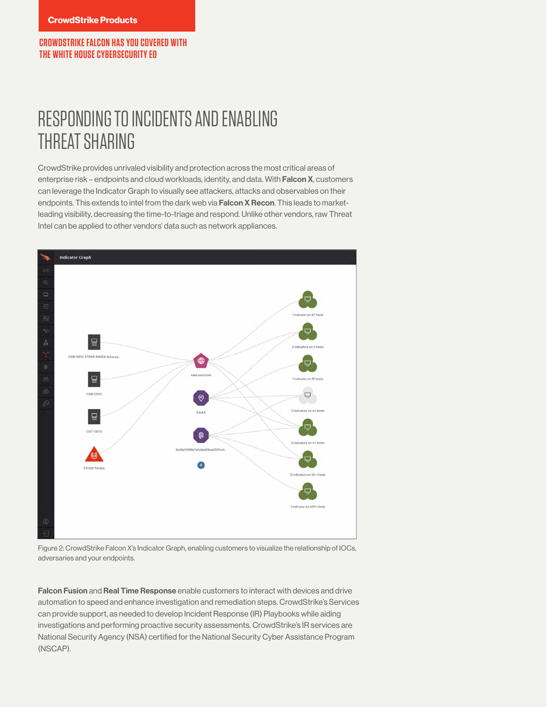### RESPONDING TO INCIDENTS AND ENABLING THREAT SHARING

CrowdStrike provides unrivaled visibility and protection across the most critical areas of enterprise risk – endpoints and cloud workloads, identity, and data. With Falcon X, customers can leverage the Indicator Graph to visually see attackers, attacks and observables on their endpoints. This extends to intel from the dark web via Falcon X Recon. This leads to marketleading visibility, decreasing the time-to-triage and respond. Unlike other vendors, raw Threat Intel can be applied to other vendors' data such as network appliances.



Figure 2: CrowdStrike Falcon X's Indicator Graph, enabling customers to visualize the relationship of IOCs, adversaries and your endpoints.

Falcon Fusion and Real Time Response enable customers to interact with devices and drive automation to speed and enhance investigation and remediation steps. CrowdStrike's Services can provide support, as needed to develop Incident Response (IR) Playbooks while aiding investigations and performing proactive security assessments. CrowdStrike's IR services are National Security Agency (NSA) certified for the National Security Cyber Assistance Program (NSCAP).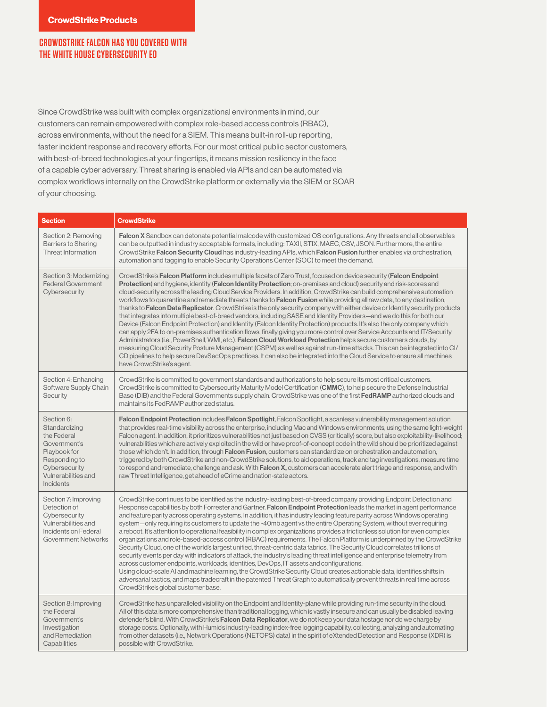Since CrowdStrike was built with complex organizational environments in mind, our customers can remain empowered with complex role-based access controls (RBAC), across environments, without the need for a SIEM. This means built-in roll-up reporting, faster incident response and recovery efforts. For our most critical public sector customers, with best-of-breed technologies at your fingertips, it means mission resiliency in the face of a capable cyber adversary. Threat sharing is enabled via APIs and can be automated via complex workflows internally on the CrowdStrike platform or externally via the SIEM or SOAR of your choosing.

| <b>Section</b>                                                                                                                                          | <b>CrowdStrike</b>                                                                                                                                                                                                                                                                                                                                                                                                                                                                                                                                                                                                                                                                                                                                                                                                                                                                                                                                                                                                                                                                                                                                                                                                                                                                                                                                                                                                                   |
|---------------------------------------------------------------------------------------------------------------------------------------------------------|--------------------------------------------------------------------------------------------------------------------------------------------------------------------------------------------------------------------------------------------------------------------------------------------------------------------------------------------------------------------------------------------------------------------------------------------------------------------------------------------------------------------------------------------------------------------------------------------------------------------------------------------------------------------------------------------------------------------------------------------------------------------------------------------------------------------------------------------------------------------------------------------------------------------------------------------------------------------------------------------------------------------------------------------------------------------------------------------------------------------------------------------------------------------------------------------------------------------------------------------------------------------------------------------------------------------------------------------------------------------------------------------------------------------------------------|
| Section 2: Removing<br><b>Barriers to Sharing</b><br><b>Threat Information</b>                                                                          | <b>Falcon X</b> Sandbox can detonate potential malcode with customized OS configurations. Any threats and all observables<br>can be outputted in industry acceptable formats, including: TAXII, STIX, MAEC, CSV, JSON. Furthermore, the entire<br>CrowdStrike Falcon Security Cloud has industry-leading APIs, which Falcon Fusion further enables via orchestration,<br>automation and tagging to enable Security Operations Center (SOC) to meet the demand.                                                                                                                                                                                                                                                                                                                                                                                                                                                                                                                                                                                                                                                                                                                                                                                                                                                                                                                                                                       |
| Section 3: Modernizing<br><b>Federal Government</b><br>Cybersecurity                                                                                    | CrowdStrike's Falcon Platform includes multiple facets of Zero Trust, focused on device security (Falcon Endpoint<br>Protection) and hygiene, identity (Falcon Identity Protection; on-premises and cloud) security and risk-scores and<br>cloud-security across the leading Cloud Service Providers. In addition, CrowdStrike can build comprehensive automation<br>workflows to quarantine and remediate threats thanks to <b>Falcon Fusion</b> while providing all raw data, to any destination,<br>thanks to <b>Falcon Data Replicator</b> . CrowdStrike is the only security company with either device or Identity security products<br>that integrates into multiple best-of-breed vendors, including SASE and Identity Providers—and we do this for both our<br>Device (Falcon Endpoint Protection) and Identity (Falcon Identity Protection) products. It's also the only company which<br>can apply 2FA to on-premises authentication flows, finally giving you more control over Service Accounts and IT/Security<br>Administrators (i.e., PowerShell, WMI, etc.). Falcon Cloud Workload Protection helps secure customers clouds, by<br>measuring Cloud Security Posture Management (CSPM) as well as against run-time attacks. This can be integrated into Cl/<br>CD pipelines to help secure DevSecOps practices. It can also be integrated into the Cloud Service to ensure all machines<br>have CrowdStrike's agent. |
| Section 4: Enhancing<br>Software Supply Chain<br>Security                                                                                               | CrowdStrike is committed to government standards and authorizations to help secure its most critical customers.<br>CrowdStrike is committed to Cybersecurity Maturity Model Certification (CMMC), to help secure the Defense Industrial<br>Base (DIB) and the Federal Governments supply chain. CrowdStrike was one of the first FedRAMP authorized clouds and<br>maintains its FedRAMP authorized status.                                                                                                                                                                                                                                                                                                                                                                                                                                                                                                                                                                                                                                                                                                                                                                                                                                                                                                                                                                                                                           |
| Section 6:<br>Standardizing<br>the Federal<br>Government's<br>Playbook for<br>Responding to<br>Cybersecurity<br>Vulnerabilities and<br><b>Incidents</b> | Falcon Endpoint Protection includes Falcon Spotlight, Falcon Spotlight, a scanless vulnerability management solution<br>that provides real-time visibility across the enterprise, including Mac and Windows environments, using the same light-weight<br>Falcon agent. In addition, it prioritizes vulnerabilities not just based on CVSS (critically) score, but also exploitability-likelihood;<br>vulnerabilities which are actively exploited in the wild or have proof-of-concept code in the wild should be prioritized against<br>those which don't. In addition, through Falcon Fusion, customers can standardize on orchestration and automation,<br>triggered by both CrowdStrike and non-CrowdStrike solutions, to aid operations, track and tag investigations, measure time<br>to respond and remediate, challenge and ask. With <b>Falcon X</b> , customers can accelerate alert triage and response, and with<br>raw Threat Intelligence, get ahead of eCrime and nation-state actors.                                                                                                                                                                                                                                                                                                                                                                                                                                |
| Section 7: Improving<br>Detection of<br>Cybersecurity<br>Vulnerabilities and<br>Incidents on Federal<br><b>Government Networks</b>                      | CrowdStrike continues to be identified as the industry-leading best-of-breed company providing Endpoint Detection and<br>Response capabilities by both Forrester and Gartner. Falcon Endpoint Protection leads the market in agent performance<br>and feature parity across operating systems. In addition, it has industry leading feature parity across Windows operating<br>system—only requiring its customers to update the ~40mb agent vs the entire Operating System, without ever requiring<br>a reboot. It's attention to operational feasibility in complex organizations provides a frictionless solution for even complex<br>organizations and role-based-access control (RBAC) requirements. The Falcon Platform is underpinned by the CrowdStrike<br>Security Cloud, one of the world's largest unified, threat-centric data fabrics. The Security Cloud correlates trillions of<br>security events per day with indicators of attack, the industry's leading threat intelligence and enterprise telemetry from<br>across customer endpoints, workloads, identities, DevOps, IT assets and configurations.<br>Using cloud-scale AI and machine learning, the CrowdStrike Security Cloud creates actionable data, identifies shifts in<br>adversarial tactics, and maps tradecraft in the patented Threat Graph to automatically prevent threats in real time across<br>CrowdStrike's global customer base.             |
| Section 8: Improving<br>the Federal<br>Government's<br>Investigation<br>and Remediation<br>Capabilities                                                 | CrowdStrike has unparalleled visibility on the Endpoint and Identity-plane while providing run-time security in the cloud.<br>All of this data is more comprehensive than traditional logging, which is vastly insecure and can usually be disabled leaving<br>defender's blind. With CrowdStrike's Falcon Data Replicator, we do not keep your data hostage nor do we charge by<br>storage costs. Optionally, with Humio's industry-leading index-free logging capability, collecting, analyzing and automating<br>from other datasets (i.e., Network Operations (NETOPS) data) in the spirit of eXtended Detection and Response (XDR) is<br>possible with CrowdStrike.                                                                                                                                                                                                                                                                                                                                                                                                                                                                                                                                                                                                                                                                                                                                                             |